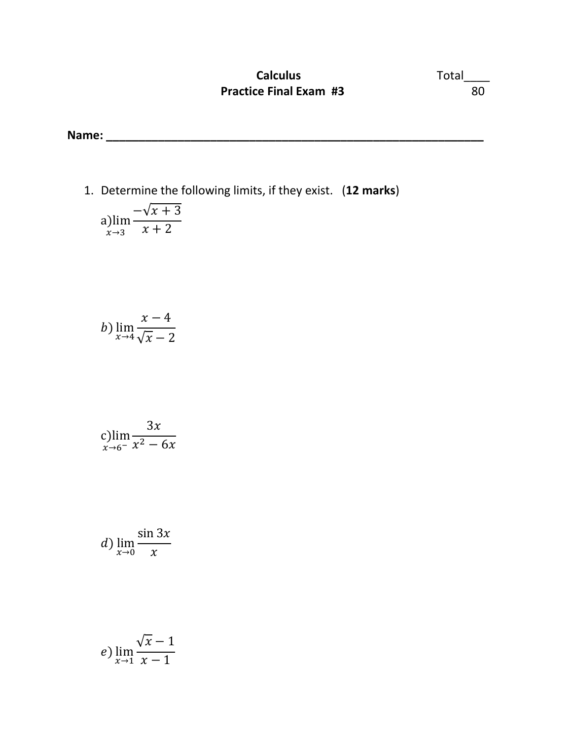## **Calculus** Total\_\_\_\_ **Practice Final Exam #3** 80

**Name: \_\_\_\_\_\_\_\_\_\_\_\_\_\_\_\_\_\_\_\_\_\_\_\_\_\_\_\_\_\_\_\_\_\_\_\_\_\_\_\_\_\_\_\_\_\_\_\_\_\_\_\_\_\_\_\_\_\_** 

1. Determine the following limits, if they exist. (**12 marks**)

a) 
$$
\lim_{x \to 3} \frac{-\sqrt{x+3}}{x+2}
$$

$$
b) \lim_{x \to 4} \frac{x - 4}{\sqrt{x - 2}}
$$

$$
\displaystyle\mathop{\rm c\,lim}_{x\to 6^-}\frac{3x}{x^2-6x}
$$

d) 
$$
\lim_{x \to 0} \frac{\sin 3x}{x}
$$

$$
e) \lim_{x \to 1} \frac{\sqrt{x} - 1}{x - 1}
$$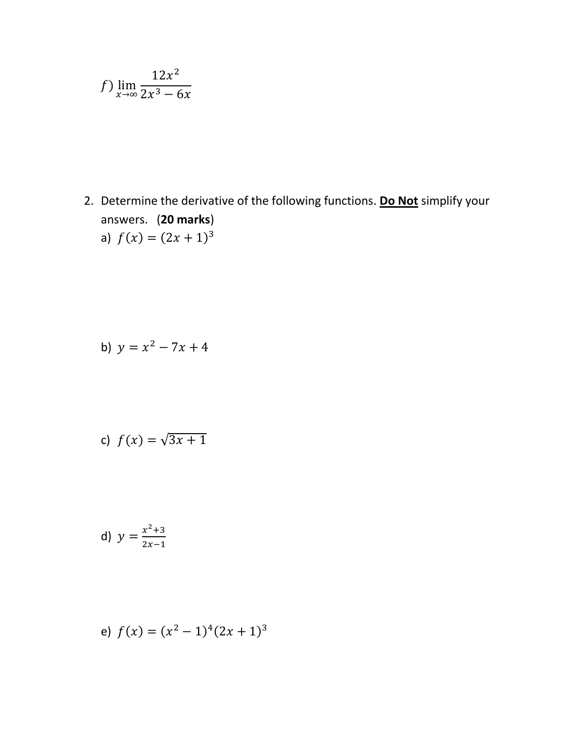$$
f) \lim_{x \to \infty} \frac{12x^2}{2x^3 - 6x}
$$

2. Determine the derivative of the following functions. **Do Not** simplify your answers. (**20 marks**) a)  $f(x) = (2x + 1)^3$ 

b) 
$$
y = x^2 - 7x + 4
$$

c) 
$$
f(x) = \sqrt{3x+1}
$$

d) 
$$
y = \frac{x^2+3}{2x-1}
$$

e) 
$$
f(x) = (x^2 - 1)^4 (2x + 1)^3
$$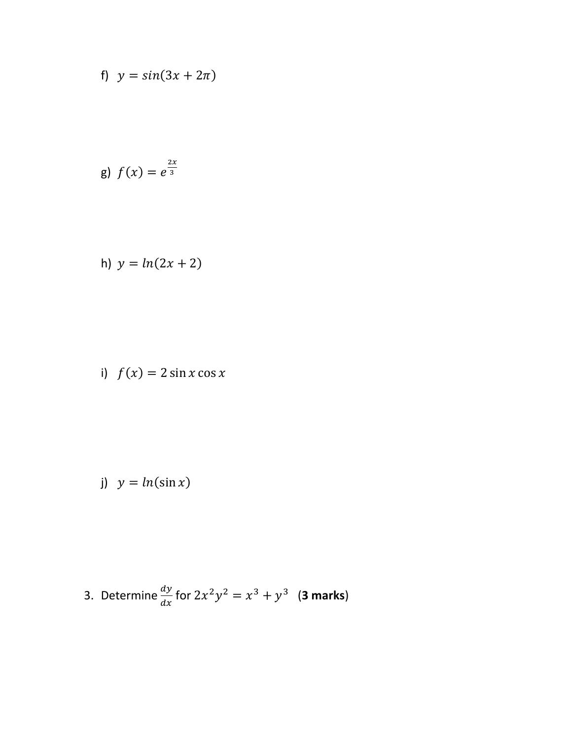f) 
$$
y = \sin(3x + 2\pi)
$$

g) 
$$
f(x) = e^{\frac{2x}{3}}
$$

h) 
$$
y = ln(2x + 2)
$$

i) 
$$
f(x) = 2 \sin x \cos x
$$

$$
y = \ln(\sin x)
$$

3. Determine 
$$
\frac{dy}{dx}
$$
 for  $2x^2y^2 = x^3 + y^3$  (3 marks)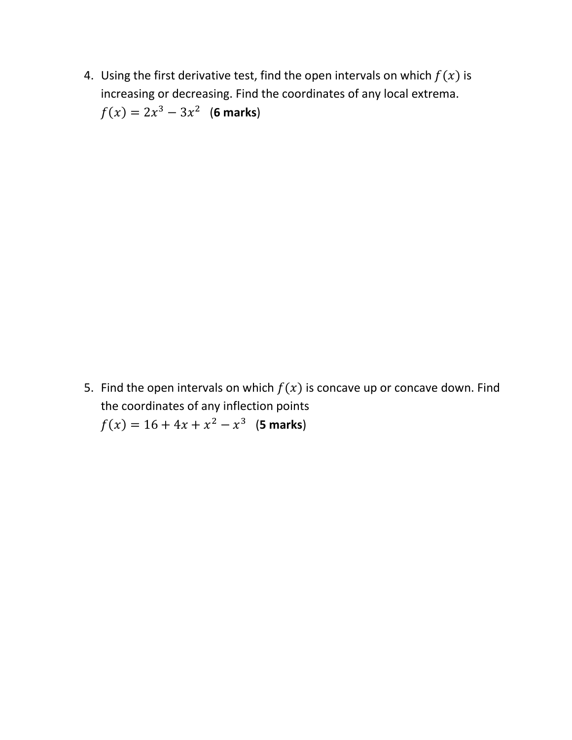4. Using the first derivative test, find the open intervals on which  $f(x)$  is increasing or decreasing. Find the coordinates of any local extrema.  $f(x) = 2x^3 - 3x^2$  (6 marks)

5. Find the open intervals on which  $f(x)$  is concave up or concave down. Find the coordinates of any inflection points  $f(x) = 16 + 4x + x^2 - x^3$  (**5 marks**)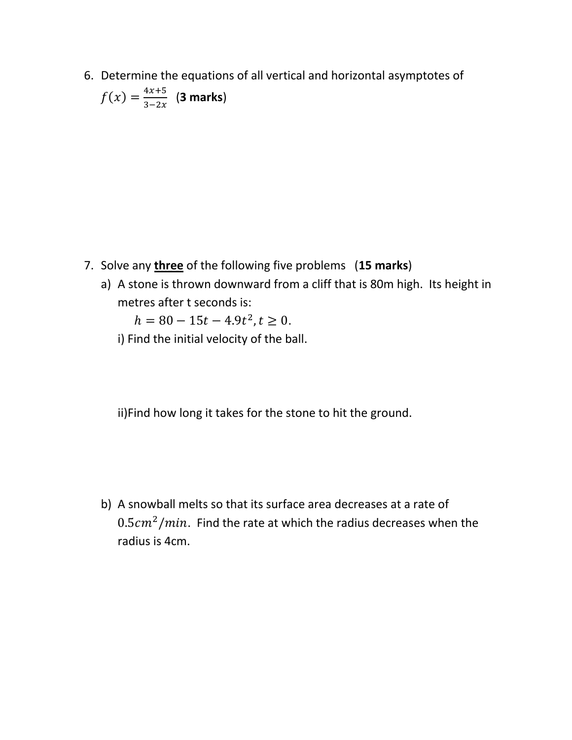6. Determine the equations of all vertical and horizontal asymptotes of  $f(x) = \frac{4x+5}{3-2x}$  $\frac{4x+3}{3-2x}$  (3 marks)

- 7. Solve any **three** of the following five problems (**15 marks**)
	- a) A stone is thrown downward from a cliff that is 80m high. Its height in metres after t seconds is:

 $h = 80 - 15t - 4.9t^2, t \ge 0.$ 

i) Find the initial velocity of the ball.

ii)Find how long it takes for the stone to hit the ground.

b) A snowball melts so that its surface area decreases at a rate of  $0.5cm<sup>2</sup>/min$ . Find the rate at which the radius decreases when the radius is 4cm.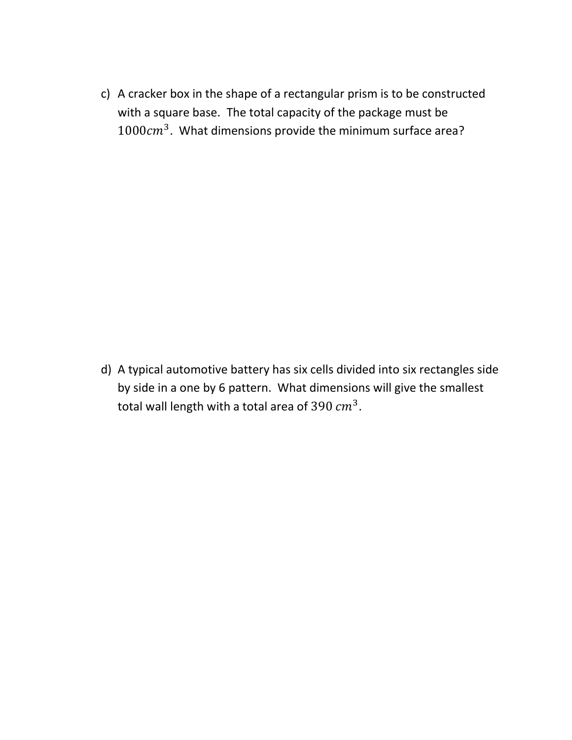c) A cracker box in the shape of a rectangular prism is to be constructed with a square base. The total capacity of the package must be  $1000cm<sup>3</sup>$ . What dimensions provide the minimum surface area?

d) A typical automotive battery has six cells divided into six rectangles side by side in a one by 6 pattern. What dimensions will give the smallest total wall length with a total area of 390  $cm^3$ .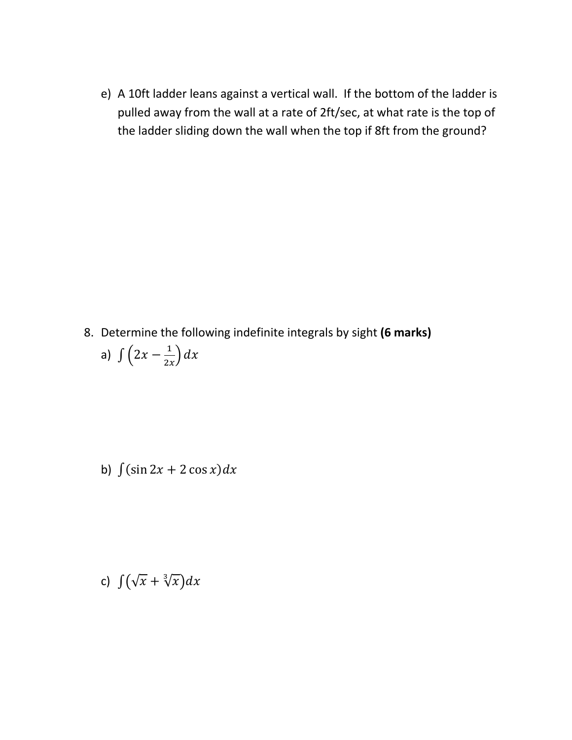e) A 10ft ladder leans against a vertical wall. If the bottom of the ladder is pulled away from the wall at a rate of 2ft/sec, at what rate is the top of the ladder sliding down the wall when the top if 8ft from the ground?

8. Determine the following indefinite integrals by sight **(6 marks)**

a) 
$$
\int \left(2x - \frac{1}{2x}\right) dx
$$

b)  $\int (\sin 2x + 2 \cos x) dx$ 

c)  $\int (\sqrt{x} + \sqrt[3]{x}) dx$